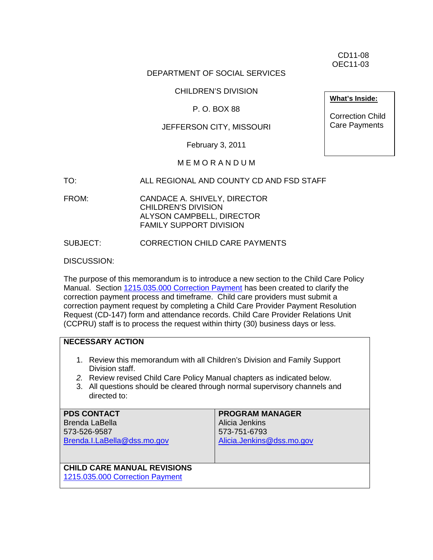CD11-08 OEC11-03

#### DEPARTMENT OF SOCIAL SERVICES

# CHILDREN'S DIVISION

#### P. O. BOX 88

#### JEFFERSON CITY, MISSOURI

February 3, 2011

#### M E M O R A N D U M

- TO: ALL REGIONAL AND COUNTY CD AND FSD STAFF
- FROM: CANDACE A. SHIVELY, DIRECTOR CHILDREN'S DIVISION ALYSON CAMPBELL, DIRECTOR FAMILY SUPPORT DIVISION

#### SUBJECT: CORRECTION CHILD CARE PAYMENTS

DISCUSSION:

The purpose of this memorandum is to introduce a new section to the Child Care Policy Manual. Section [1215.035.000 Correction Payment](http://www.dss.mo.gov/fsd/iman/chldcare/1215-035-00.html) has been created to clarify the correction payment process and timeframe. Child care providers must submit a correction payment request by completing a Child Care Provider Payment Resolution Request (CD-147) form and attendance records. Child Care Provider Relations Unit (CCPRU) staff is to process the request within thirty (30) business days or less.

#### **NECESSARY ACTION**

- 1. Review this memorandum with all Children's Division and Family Support Division staff.
- *2.* Review revised Child Care Policy Manual chapters as indicated below.
- 3. All questions should be cleared through normal supervisory channels and directed to:

| <b>PDS CONTACT</b>                 | <b>PROGRAM MANAGER</b>    |
|------------------------------------|---------------------------|
| <b>Brenda LaBella</b>              | Alicia Jenkins            |
| 573-526-9587                       | 573-751-6793              |
| Brenda.I.LaBella@dss.mo.gov        | Alicia.Jenkins@dss.mo.gov |
|                                    |                           |
|                                    |                           |
| <b>CHILD CARE MANUAL REVISIONS</b> |                           |
| 1215.035.000 Correction Payment    |                           |

**What's Inside:**

Correction Child Care Payments